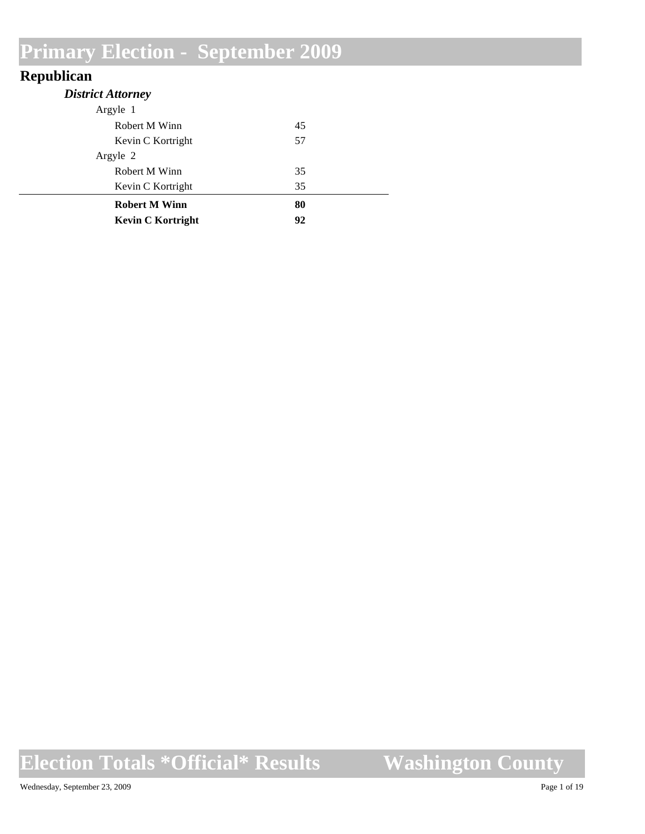#### **Republican**

| <b>District Attorney</b> |    |  |
|--------------------------|----|--|
| Argyle 1                 |    |  |
| Robert M Winn            | 45 |  |
| Kevin C Kortright        | 57 |  |
| Argyle 2                 |    |  |
| Robert M Winn            | 35 |  |
| Kevin C Kortright        | 35 |  |
| <b>Robert M Winn</b>     | 80 |  |
| <b>Kevin C Kortright</b> | 92 |  |

**Election Totals \*Official\* Results**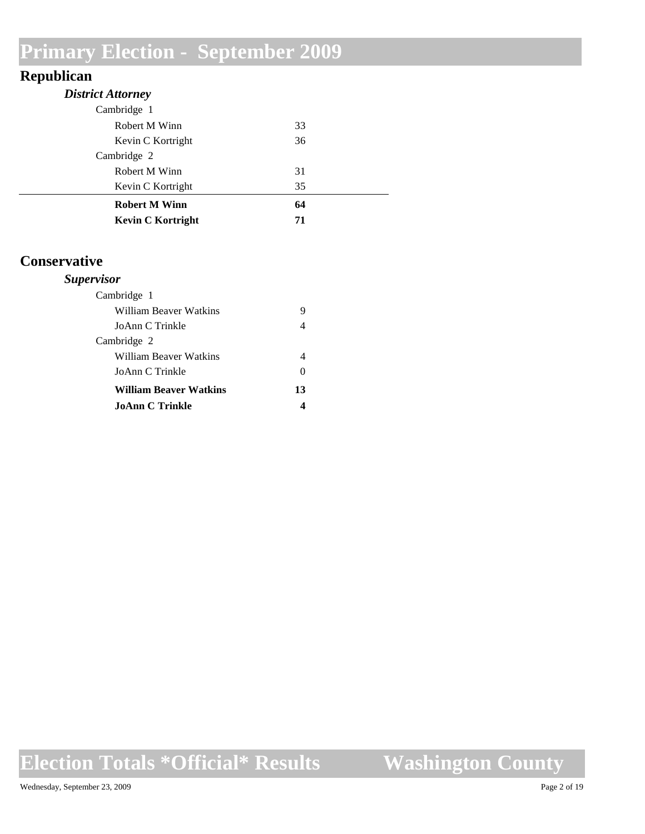#### **Republican**

| <b>District Attorney</b> |    |  |
|--------------------------|----|--|
| Cambridge 1              |    |  |
| Robert M Winn            | 33 |  |
| Kevin C Kortright        | 36 |  |
| Cambridge 2              |    |  |
| Robert M Winn            | 31 |  |
| Kevin C Kortright        | 35 |  |
| <b>Robert M Winn</b>     | 64 |  |
| <b>Kevin C Kortright</b> | 71 |  |

#### **Conservative**

#### *Supervisor*

| 0  |
|----|
| 13 |
|    |
|    |

### **Election Totals \*Official\* Results**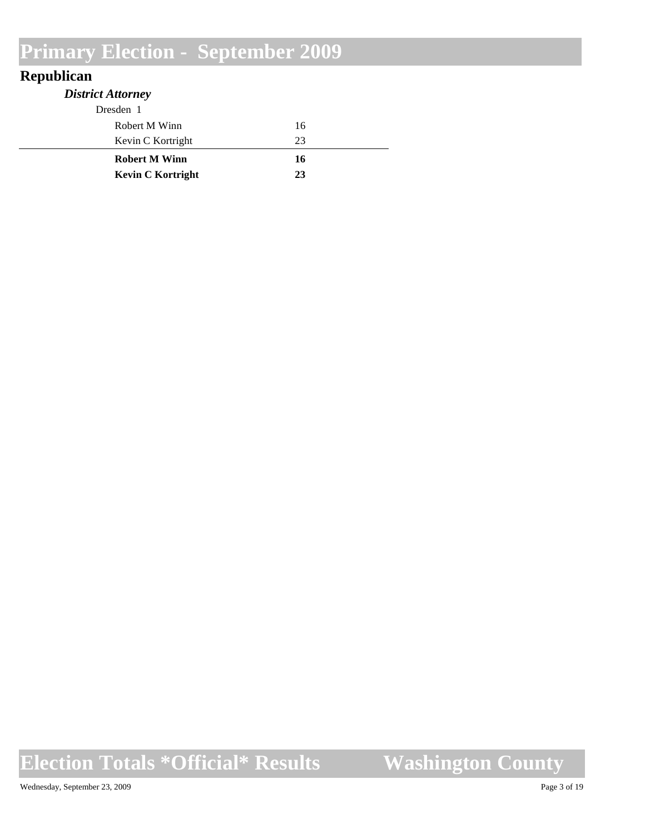#### **Republican**

| <b>District Attorney</b> |    |
|--------------------------|----|
| Dresden 1                |    |
| Robert M Winn            | 16 |
| Kevin C Kortright        | 23 |
| <b>Robert M Winn</b>     | 16 |
| <b>Kevin C Kortright</b> | 23 |

**Election Totals \*Official\* Results**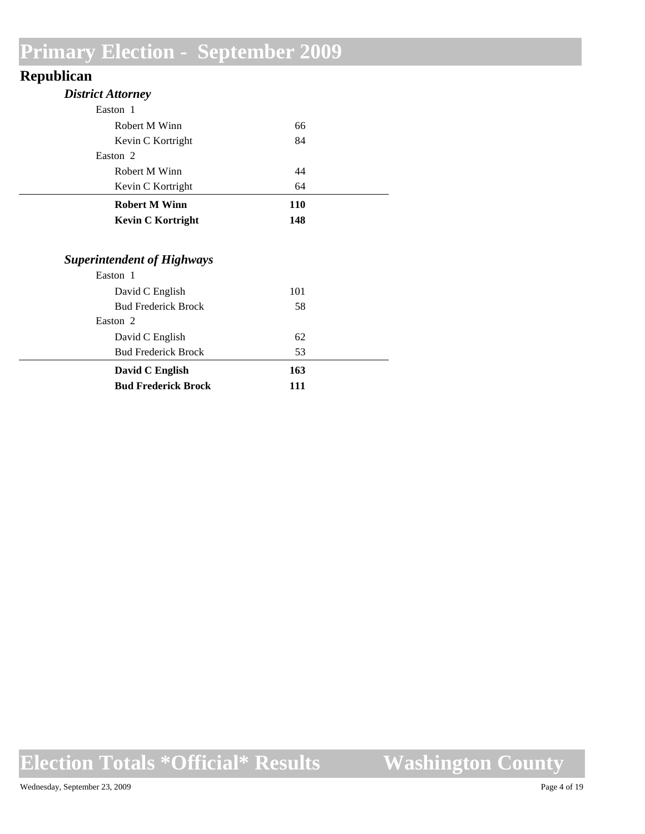#### **Republican**

| <b>District Attorney</b>                                                                                                                                    |                       |  |
|-------------------------------------------------------------------------------------------------------------------------------------------------------------|-----------------------|--|
| Easton 1                                                                                                                                                    |                       |  |
| Robert M Winn                                                                                                                                               | 66                    |  |
| Kevin C Kortright                                                                                                                                           | 84                    |  |
| Easton <sub>2</sub>                                                                                                                                         |                       |  |
| Robert M Winn                                                                                                                                               | 44                    |  |
| Kevin C Kortright                                                                                                                                           | 64                    |  |
| <b>Robert M Winn</b>                                                                                                                                        | <b>110</b>            |  |
| <b>Kevin C Kortright</b>                                                                                                                                    | 148                   |  |
| <b>Superintendent of Highways</b><br>Easton 1<br>David C English<br><b>Bud Frederick Brock</b><br>Easton 2<br>David C English<br><b>Bud Frederick Brock</b> | 101<br>58<br>62<br>53 |  |
| David C English                                                                                                                                             | 163                   |  |
|                                                                                                                                                             |                       |  |

### **Election Totals \*Official\* Results**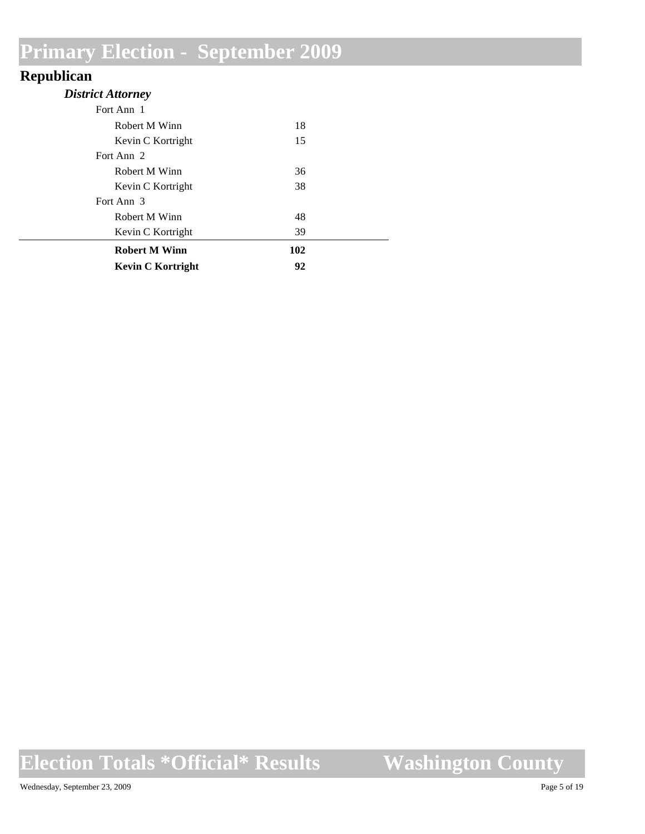#### **Republican**

| -<br><b>District Attorney</b> |     |  |
|-------------------------------|-----|--|
| Fort Ann 1                    |     |  |
| Robert M Winn                 | 18  |  |
| Kevin C Kortright             | 15  |  |
| Fort Ann 2                    |     |  |
| Robert M Winn                 | 36  |  |
| Kevin C Kortright             | 38  |  |
| Fort Ann 3                    |     |  |
| Robert M Winn                 | 48  |  |
| Kevin C Kortright             | 39  |  |
| <b>Robert M Winn</b>          | 102 |  |
| <b>Kevin C Kortright</b>      | 92  |  |

# **Election Totals \*Official\* Results**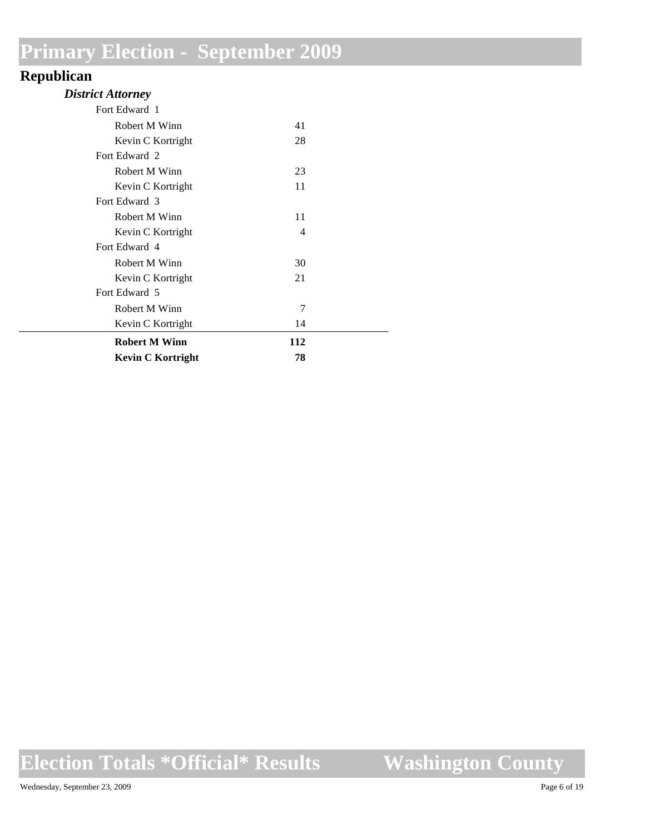#### **Republican**

| Kevin C Kortright    | 78  |  |
|----------------------|-----|--|
| <b>Robert M Winn</b> | 112 |  |
| Kevin C Kortright    | 14  |  |
| Robert M Winn        | 7   |  |
| Fort Edward 5        |     |  |
| Kevin C Kortright    | 21  |  |
| Robert M Winn        | 30  |  |
| Fort Edward 4        |     |  |
| Kevin C Kortright    | 4   |  |
| Robert M Winn        | 11  |  |
| Fort Edward 3        |     |  |
| Kevin C Kortright    | 11  |  |
| Robert M Winn        | 23  |  |
| Fort Edward 2        |     |  |
| Kevin C Kortright    | 28  |  |
| Robert M Winn        | 41  |  |
| Fort Edward 1        |     |  |

### **Election Totals \*Official\* Results**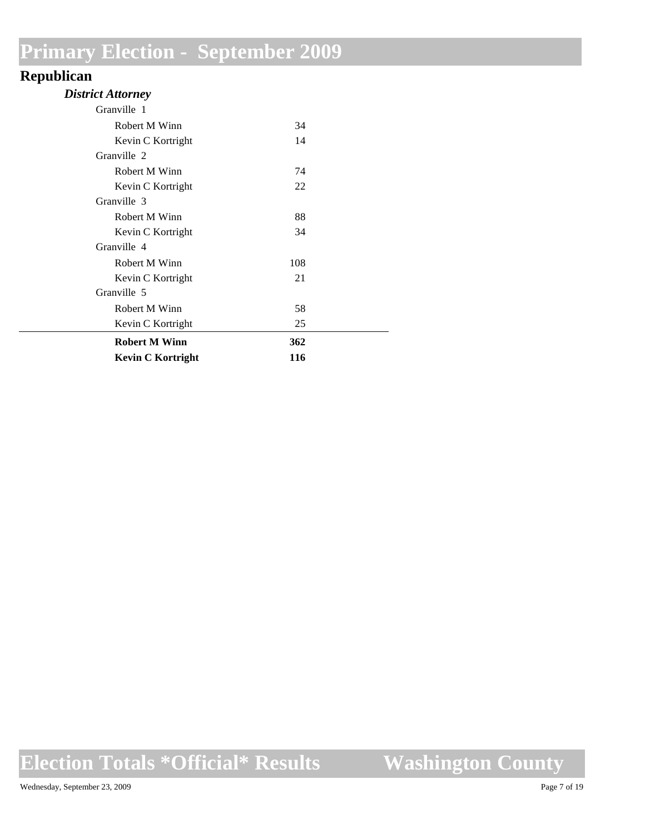#### **Republican**

#### *District Attorney*

| Kevin C Kortright    | 116 |  |
|----------------------|-----|--|
| <b>Robert M Winn</b> | 362 |  |
| Kevin C Kortright    | 25  |  |
| Robert M Winn        | 58  |  |
| Granville 5          |     |  |
| Kevin C Kortright    | 21  |  |
| Robert M Winn        | 108 |  |
| Granville 4          |     |  |
| Kevin C Kortright    | 34  |  |
| Robert M Winn        | 88  |  |
| Granville 3          |     |  |
| Kevin C Kortright    | 22  |  |
| Robert M Winn        | 74  |  |
| Granville 2          |     |  |
| Kevin C Kortright    | 14  |  |
| Robert M Winn        | 34  |  |
| Granville 1          |     |  |

### **Election Totals \*Official\* Results**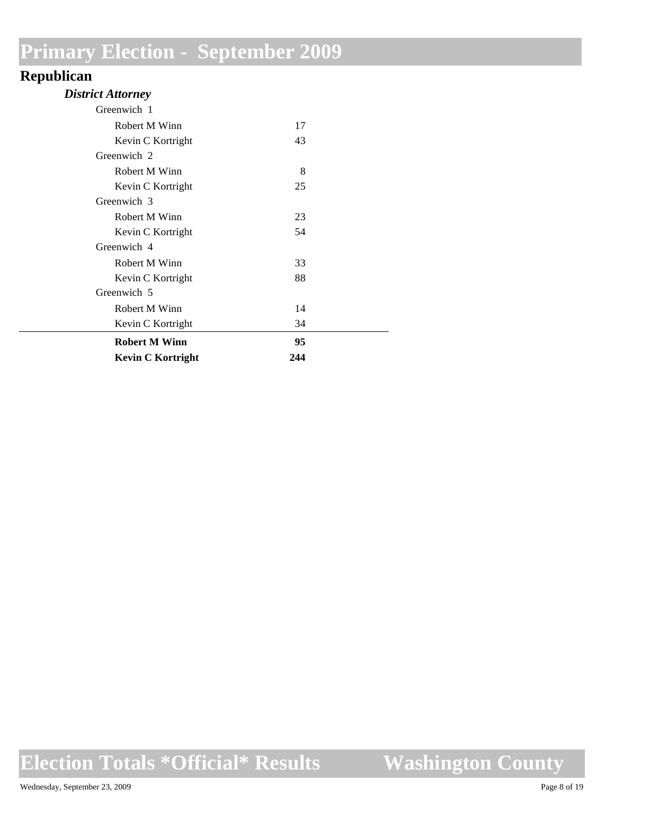#### **Republican**

| <b>District Attorney</b> |  |
|--------------------------|--|
|--------------------------|--|

| Greenwich 1              |     |  |
|--------------------------|-----|--|
| Robert M Winn            | 17  |  |
| Kevin C Kortright        | 43  |  |
| Greenwich 2              |     |  |
| Robert M Winn            | 8   |  |
| Kevin C Kortright        | 25  |  |
| Greenwich 3              |     |  |
| Robert M Winn            | 23  |  |
| Kevin C Kortright        | 54  |  |
| Greenwich 4              |     |  |
| Robert M Winn            | 33  |  |
| Kevin C Kortright        | 88  |  |
| Greenwich 5              |     |  |
| Robert M Winn            | 14  |  |
| Kevin C Kortright        | 34  |  |
| <b>Robert M Winn</b>     | 95  |  |
| <b>Kevin C Kortright</b> | 244 |  |

### **Election Totals \*Official\* Results**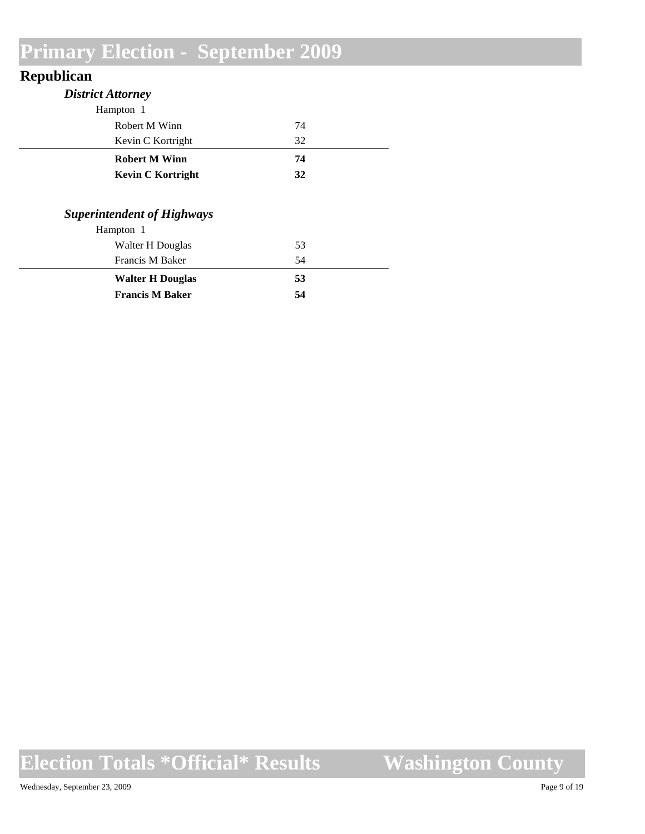#### **Republican**

| <b>District Attorney</b>          |    |  |
|-----------------------------------|----|--|
| Hampton 1                         |    |  |
| Robert M Winn                     | 74 |  |
| Kevin C Kortright                 | 32 |  |
| <b>Robert M Winn</b>              | 74 |  |
| <b>Kevin C Kortright</b>          | 32 |  |
| <b>Superintendent of Highways</b> |    |  |
|                                   |    |  |
| Hampton 1                         |    |  |
| Walter H Douglas                  | 53 |  |
| Francis M Baker                   | 54 |  |
| <b>Walter H Douglas</b>           | 53 |  |
| <b>Francis M Baker</b>            | 54 |  |

# **Election Totals \*Official\* Results**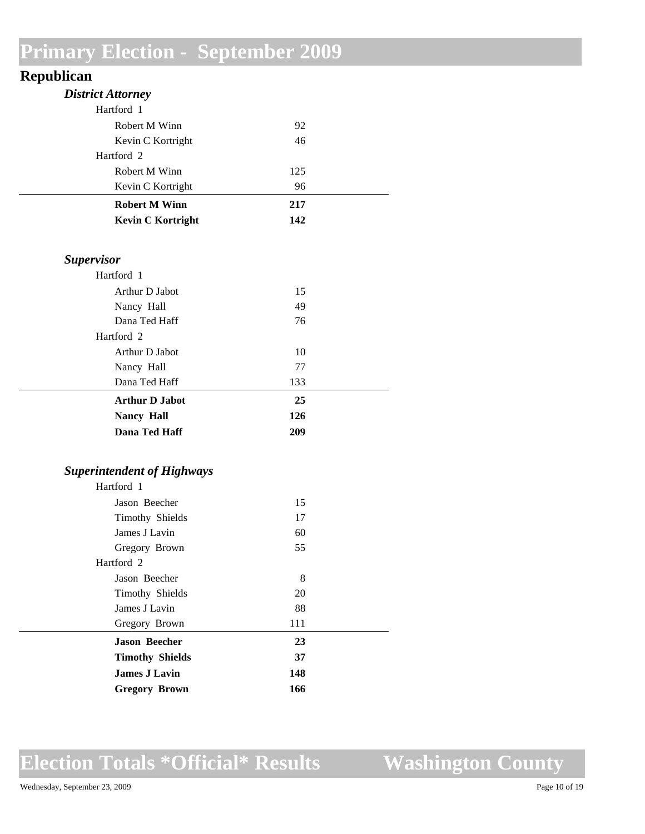#### **Republican**

| <b>District Attorney</b>                                                            |     |  |
|-------------------------------------------------------------------------------------|-----|--|
| Hartford 1                                                                          |     |  |
| Robert M Winn                                                                       | 92  |  |
| Kevin C Kortright                                                                   | 46  |  |
| Hartford 2                                                                          |     |  |
| Robert M Winn                                                                       | 125 |  |
| Kevin C Kortright                                                                   | 96  |  |
| <b>Robert M Winn</b>                                                                | 217 |  |
| <b>Kevin C Kortright</b>                                                            | 142 |  |
| <b>Supervisor</b>                                                                   |     |  |
| Hartford 1                                                                          |     |  |
| Arthur D Jabot                                                                      | 15  |  |
| Nancy Hall                                                                          | 49  |  |
| Dana Ted Haff                                                                       | 76  |  |
| Hartford 2                                                                          |     |  |
| Arthur D Jabot                                                                      | 10  |  |
| Nancy Hall                                                                          | 77  |  |
| Dana Ted Haff                                                                       | 133 |  |
| <b>Arthur D Jabot</b>                                                               | 25  |  |
| <b>Nancy Hall</b>                                                                   | 126 |  |
| Dana Ted Haff                                                                       | 209 |  |
| <b>Superintendent of Highways</b>                                                   |     |  |
| Hartford 1                                                                          |     |  |
| Jason Beecher                                                                       | 15  |  |
| $T^*_{\text{max}}$ and $T^*_{\text{max}}$ $T^*_{\text{max}}$ and $T^*_{\text{max}}$ | 17  |  |

| <b>Gregory Brown</b>   | 166 |  |
|------------------------|-----|--|
| <b>James J Lavin</b>   | 148 |  |
| <b>Timothy Shields</b> | 37  |  |
| <b>Jason Beecher</b>   | 23  |  |
| Gregory Brown          | 111 |  |
| James J Lavin          | 88  |  |
| Timothy Shields        | 20  |  |
| Jason Beecher          | 8   |  |
| Hartford 2             |     |  |
| Gregory Brown          | 55  |  |
| James J Lavin          | 60  |  |
| Timothy Shields        | 17  |  |
| Jason Beecher          | 15  |  |

### **Election Totals \*Official\* Results**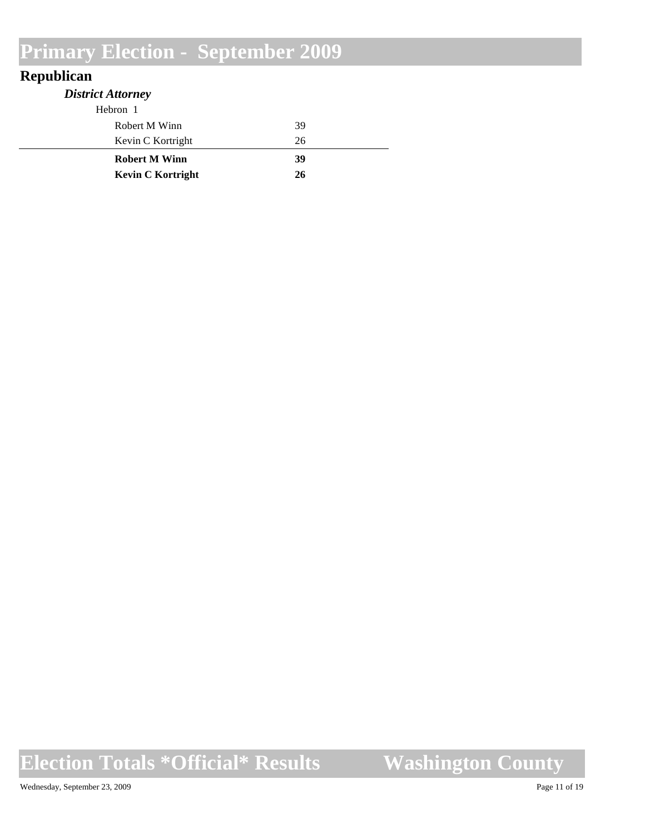#### **Republican**

| <b>District Attorney</b> |    |
|--------------------------|----|
| Hebron 1                 |    |
| Robert M Winn            | 39 |
| Kevin C Kortright        | 26 |
| <b>Robert M Winn</b>     | 39 |
| <b>Kevin C Kortright</b> | 26 |

**Election Totals \*Official\* Results**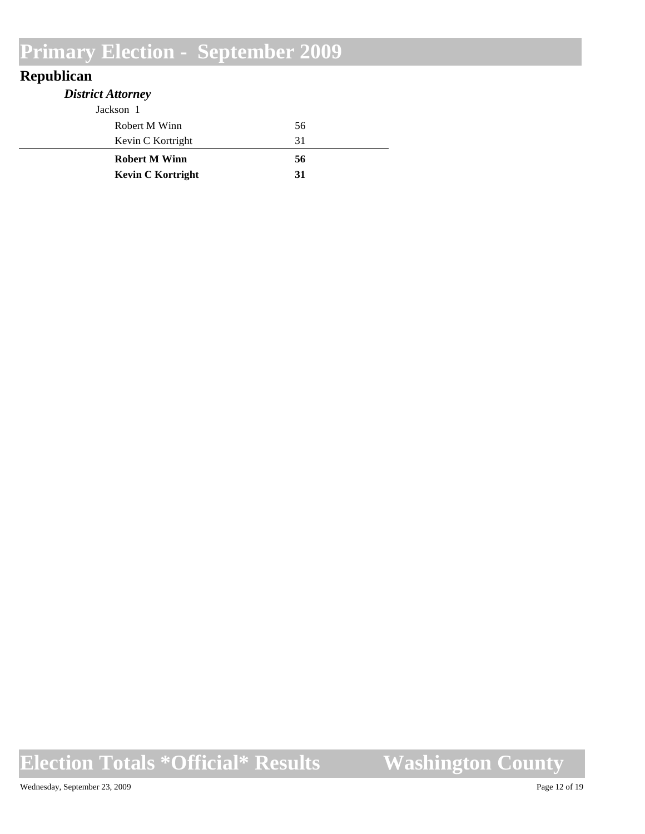#### **Republican**

| <b>District Attorney</b> |    |
|--------------------------|----|
| Jackson 1                |    |
| Robert M Winn            | 56 |
| Kevin C Kortright        | 31 |
| <b>Robert M Winn</b>     | 56 |
| <b>Kevin C Kortright</b> | 31 |

# **Election Totals \*Official\* Results**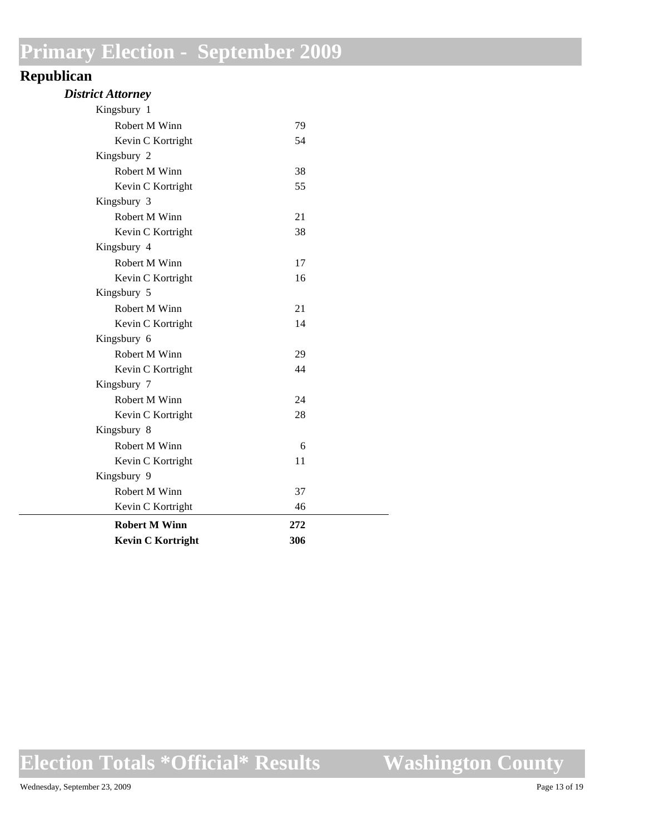#### **Republican**

| <b>District Attorney</b> |  |
|--------------------------|--|
|--------------------------|--|

| <b>Kevin C Kortright</b> | 306 |  |
|--------------------------|-----|--|
| <b>Robert M Winn</b>     | 272 |  |
| Kevin C Kortright        | 46  |  |
| Robert M Winn            | 37  |  |
| Kingsbury 9              |     |  |
| Kevin C Kortright        | 11  |  |
| Robert M Winn            | 6   |  |
| Kingsbury 8              |     |  |
| Kevin C Kortright        | 28  |  |
| Robert M Winn            | 24  |  |
| Kingsbury 7              |     |  |
| Kevin C Kortright        | 44  |  |
| Robert M Winn            | 29  |  |
| Kingsbury 6              |     |  |
| Kevin C Kortright        | 14  |  |
| Robert M Winn            | 21  |  |
| Kingsbury 5              |     |  |
| Kevin C Kortright        | 16  |  |
| Robert M Winn            | 17  |  |
| Kingsbury 4              |     |  |
| Kevin C Kortright        | 38  |  |
| Robert M Winn            | 21  |  |
| Kingsbury 3              |     |  |
| Kevin C Kortright        | 55  |  |
| Robert M Winn            | 38  |  |
| Kingsbury 2              |     |  |
| Kevin C Kortright        | 54  |  |
| Robert M Winn            | 79  |  |
| Kingsbury 1              |     |  |

**Election Totals \*Official\* Results**

**Washington County**

 $\overline{\phantom{a}}$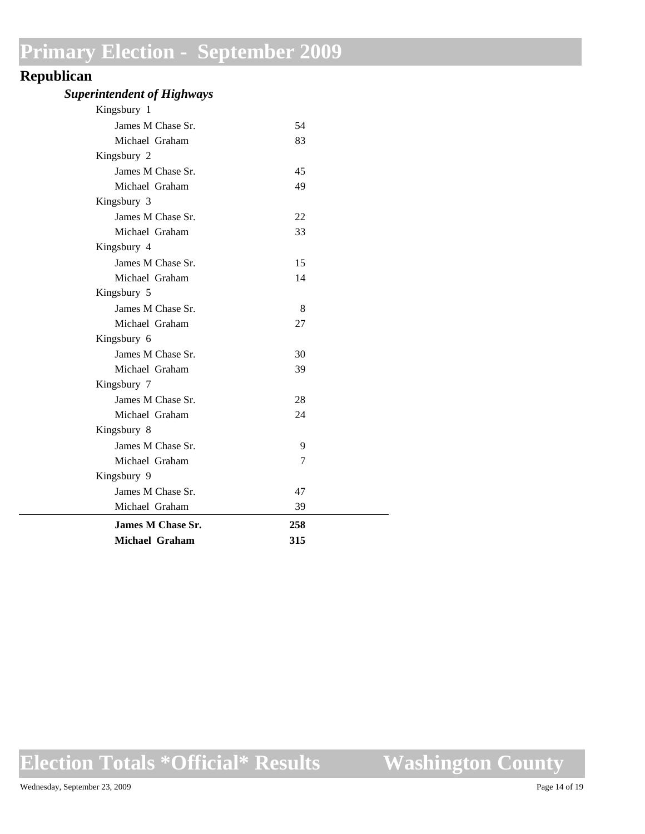#### **Republican**

#### *Superintendent of Highways*

| <b>Michael Graham</b> | 315 |  |
|-----------------------|-----|--|
| James M Chase Sr.     | 258 |  |
| Michael Graham        | 39  |  |
| James M Chase Sr.     | 47  |  |
| Kingsbury 9           |     |  |
| Michael Graham        | 7   |  |
| James M Chase Sr.     | 9   |  |
| Kingsbury 8           |     |  |
| Michael Graham        | 24  |  |
| James M Chase Sr.     | 28  |  |
| Kingsbury 7           |     |  |
| Michael Graham        | 39  |  |
| James M Chase Sr.     | 30  |  |
| Kingsbury 6           |     |  |
| Michael Graham        | 27  |  |
| James M Chase Sr.     | 8   |  |
| Kingsbury 5           |     |  |
| Michael Graham        | 14  |  |
| James M Chase Sr.     | 15  |  |
| Kingsbury 4           |     |  |
| Michael Graham        | 33  |  |
| James M Chase Sr.     | 22  |  |
| Kingsbury 3           |     |  |
| Michael Graham        | 49  |  |
| James M Chase Sr.     | 45  |  |
| Kingsbury 2           |     |  |
| Michael Graham        | 83  |  |
| James M Chase Sr.     | 54  |  |
| Kingsbury 1           |     |  |

### **Election Totals \*Official\* Results**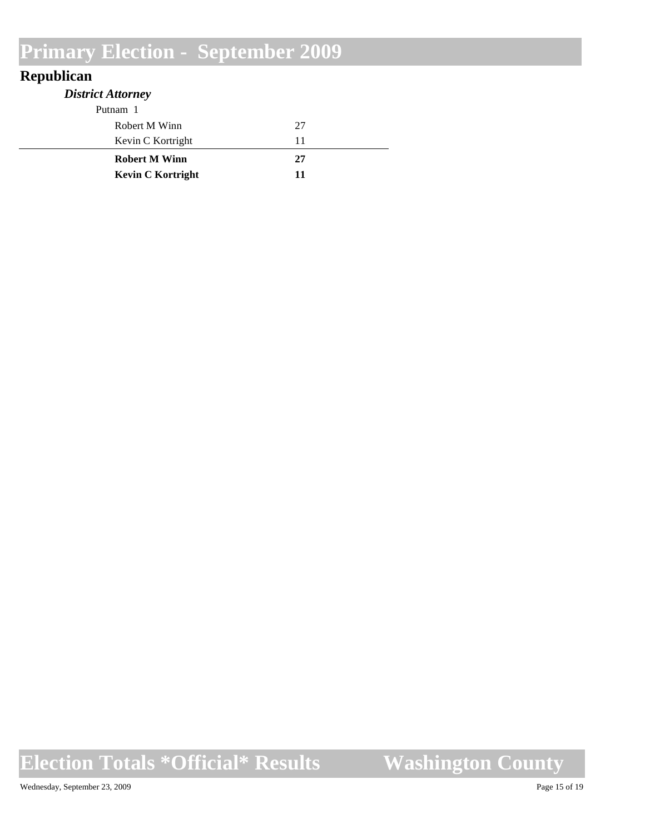#### **Republican**

| <b>District Attorney</b> |    |
|--------------------------|----|
| Putnam 1                 |    |
| Robert M Winn            | 27 |
| Kevin C Kortright        | 11 |
| <b>Robert M Winn</b>     | 27 |
| <b>Kevin C Kortright</b> | 11 |

# **Election Totals \*Official\* Results**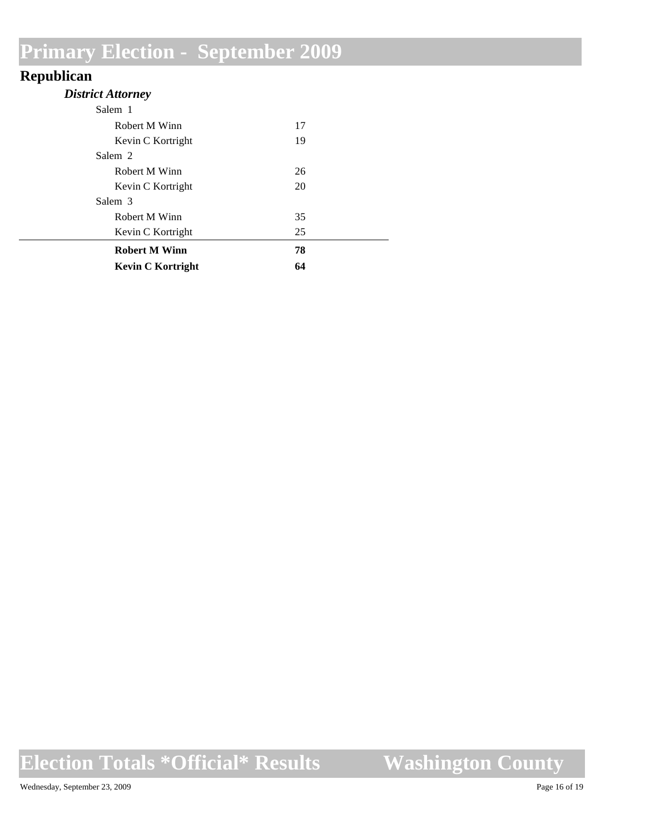#### **Republican**

#### *District Attorney*

| <b>Kevin C Kortright</b> | 64 |  |
|--------------------------|----|--|
| <b>Robert M Winn</b>     | 78 |  |
| Kevin C Kortright        | 25 |  |
| Robert M Winn            | 35 |  |
| Salem 3                  |    |  |
| Kevin C Kortright        | 20 |  |
| Robert M Winn            | 26 |  |
| Salem 2                  |    |  |
| Kevin C Kortright        | 19 |  |
| Robert M Winn            | 17 |  |
| Salem 1                  |    |  |

### **Election Totals \*Official\* Results**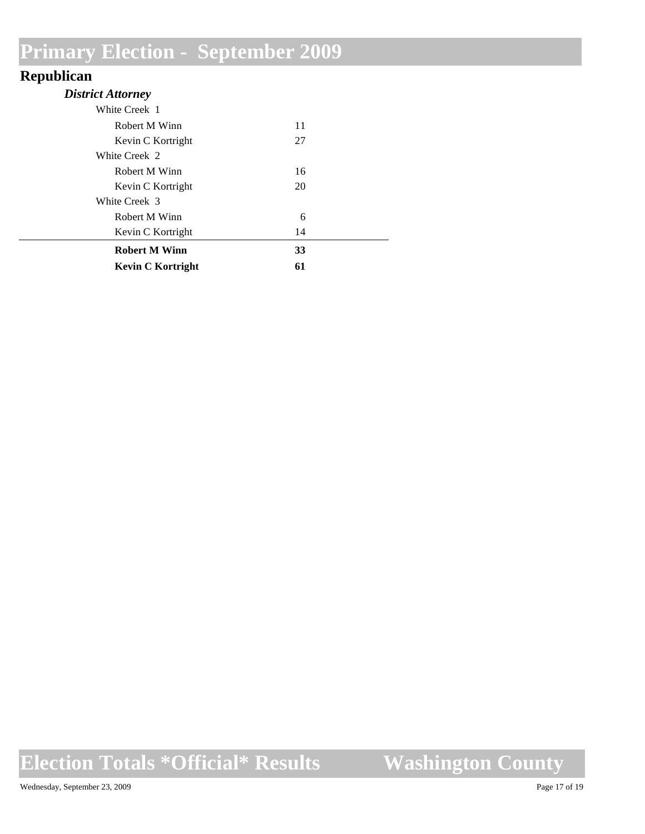#### **Republican**

| <b>District Attorney</b> |    |  |
|--------------------------|----|--|
| White Creek 1            |    |  |
| Robert M Winn            | 11 |  |
| Kevin C Kortright        | 27 |  |
| White Creek 2            |    |  |
| Robert M Winn            | 16 |  |
| Kevin C Kortright        | 20 |  |
| White Creek 3            |    |  |
| Robert M Winn            | 6  |  |
| Kevin C Kortright        | 14 |  |
| <b>Robert M Winn</b>     | 33 |  |
| <b>Kevin C Kortright</b> | 61 |  |

### **Election Totals \*Official\* Results**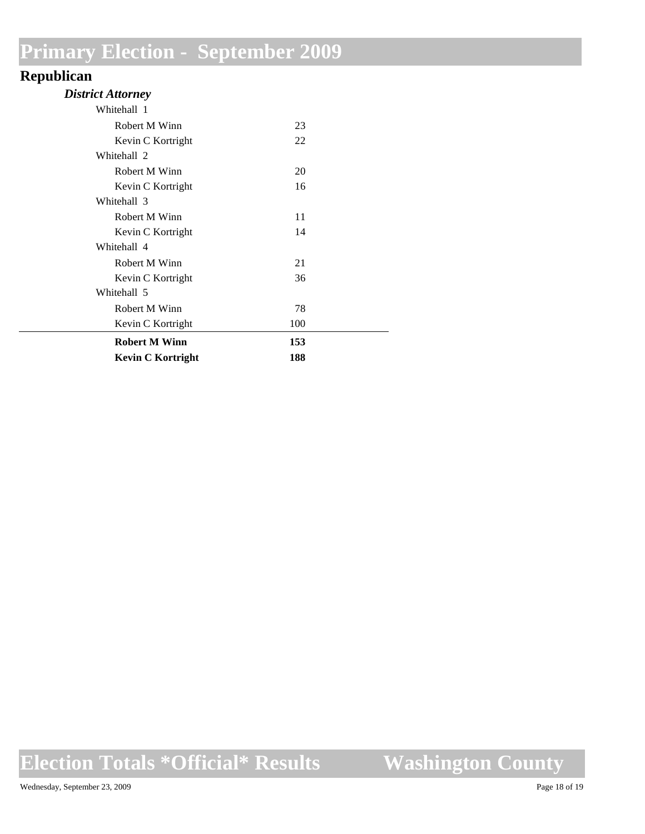#### **Republican**

#### *District Attorney*

| Whitehall 1              |     |  |
|--------------------------|-----|--|
| Robert M Winn            | 23  |  |
| Kevin C Kortright        | 22  |  |
| Whitehall 2              |     |  |
| Robert M Winn            | 20  |  |
| Kevin C Kortright        | 16  |  |
| Whitehall 3              |     |  |
| Robert M Winn            | 11  |  |
| Kevin C Kortright        | 14  |  |
| Whitehall 4              |     |  |
| Robert M Winn            | 21  |  |
| Kevin C Kortright        | 36  |  |
| Whitehall 5              |     |  |
| Robert M Winn            | 78  |  |
| Kevin C Kortright        | 100 |  |
| <b>Robert M Winn</b>     | 153 |  |
| <b>Kevin C Kortright</b> | 188 |  |

### **Election Totals \*Official\* Results**